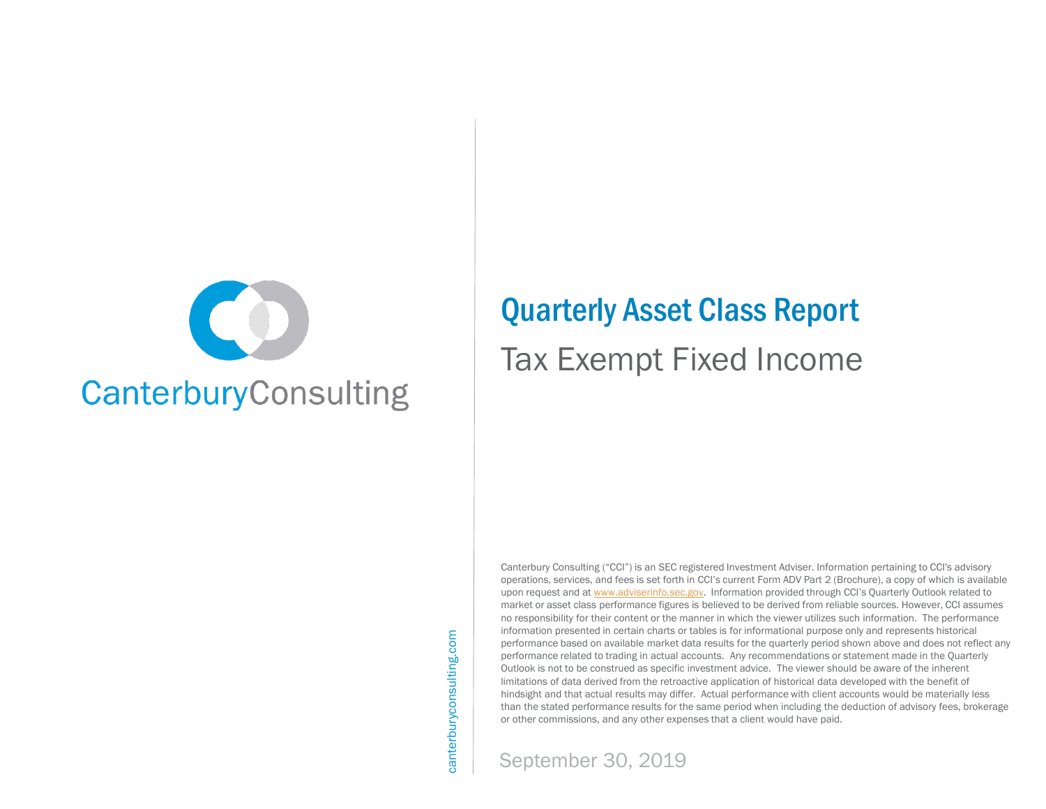

# Quarterly Asset Class Report Tax Exempt Fixed Income

Canterbury Consulting ("CCI") is an SEC registered Investment Adviser. Information pertaining to CCI's advisory operations, services, and fees is set forth in CCI's current Form ADV Part 2 (Brochure), a copy of which is available upon request and at [www.adviserinfo.sec.gov.](http://www.adviserinfo.sec.gov/) Information provided through CCI's Quarterly Outlook related to market or asset class performance figures is believed to be derived from reliable sources. However, CCI assumes no responsibility for their content or the manner in which the viewer utilizes such information. The performance information presented in certain charts or tables is for informational purpose only and represents historical performance based on available market data results for the quarterly period shown above and does not reflect any performance related to trading in actual accounts. Any recommendations or statement made in the Quarterly Outlook is not to be construed as specific investment advice. The viewer should be aware of the inherent limitations of data derived from the retroactive application of historical data developed with the benefit of hindsight and that actual results may differ. Actual performance with client accounts would be materially less than the stated performance results for the same period when including the deduction of advisory fees, brokerage or other commissions, and any other expenses that a client would have paid.

canterburyconsulting.com canterburyconsulting.com

September 30, 2019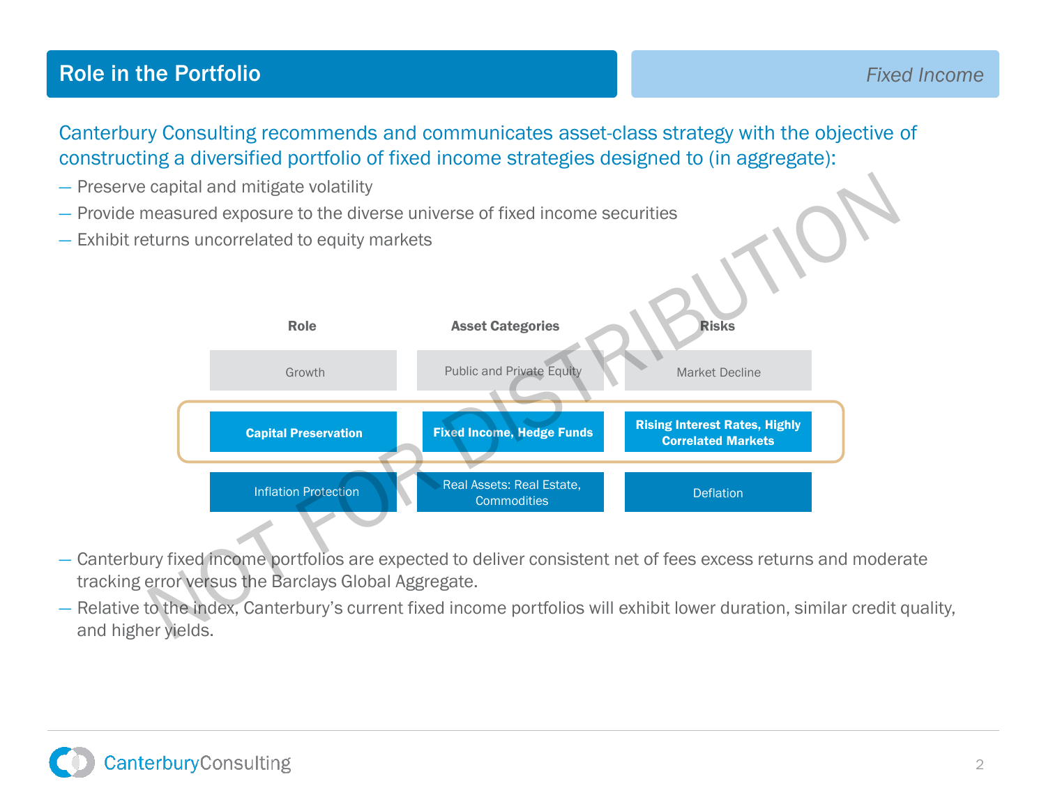### **Role in the Portfolio Fixed Income Fixed Income**

Canterbury Consulting recommends and communicates asset-class strategy with the objective of constructing a diversified portfolio of fixed income strategies designed to (in aggregate):

- Preserve capital and mitigate volatility
- Provide measured exposure to the diverse universe of fixed income securities
- Exhibit returns uncorrelated to equity markets



- Canterbury fixed income portfolios are expected to deliver consistent net of fees excess returns and moderate tracking error versus the Barclays Global Aggregate.
- Relative to the index, Canterbury's current fixed income portfolios will exhibit lower duration, similar credit quality, and higher yields.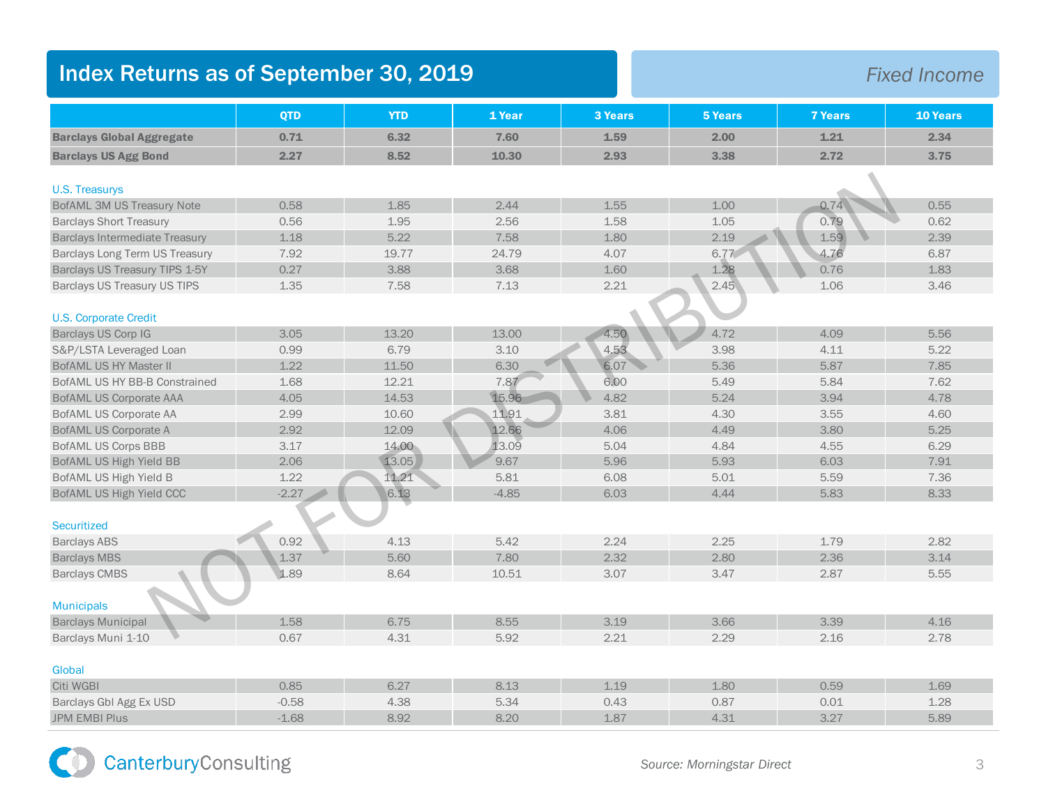## Index Returns as of September 30, 2019 *Fixed Income*

|                                       | <b>QTD</b> | <b>YTD</b> | 1 Year  | <b>3 Years</b> | <b>5 Years</b> | <b>7 Years</b> | 10 Years |
|---------------------------------------|------------|------------|---------|----------------|----------------|----------------|----------|
| <b>Barclays Global Aggregate</b>      | 0.71       | 6.32       | 7.60    | 1.59           | 2.00           | 1.21           | 2.34     |
| <b>Barclays US Agg Bond</b>           | 2.27       | 8.52       | 10.30   | 2.93           | 3.38           | 2.72           | 3.75     |
| <b>U.S. Treasurys</b>                 |            |            |         |                |                |                |          |
| <b>BofAML 3M US Treasury Note</b>     | 0.58       | 1.85       | 2.44    | 1.55           | 1.00           | 0.74           | 0.55     |
| <b>Barclays Short Treasury</b>        | 0.56       | 1.95       | 2.56    | 1.58           | 1.05           | 0.79           | 0.62     |
| <b>Barclays Intermediate Treasury</b> | 1.18       | 5.22       | 7.58    | 1.80           | 2.19           | 1.59           | 2.39     |
| Barclays Long Term US Treasury        | 7.92       | 19.77      | 24.79   | 4.07           | 6.77           | 4.76           | 6.87     |
|                                       |            |            |         |                | 1.28           |                |          |
| Barclays US Treasury TIPS 1-5Y        | 0.27       | 3.88       | 3.68    | 1.60           |                | 0.76           | 1.83     |
| Barclays US Treasury US TIPS          | 1.35       | 7.58       | 7.13    | 2.21           | 2.45           | 1.06           | 3.46     |
| <b>U.S. Corporate Credit</b>          |            |            |         |                |                |                |          |
| Barclays US Corp IG                   | 3.05       | 13.20      | 13.00   | 4.50           | 4.72           | 4.09           | 5.56     |
| S&P/LSTA Leveraged Loan               | 0.99       | 6.79       | 3.10    | 4.53           | 3.98           | 4.11           | 5.22     |
| BofAML US HY Master II                | 1.22       | 11.50      | 6.30    | 6.07           | 5.36           | 5.87           | 7.85     |
| BofAML US HY BB-B Constrained         | 1.68       | 12.21      | 7.87    | 6.00           | 5.49           | 5.84           | 7.62     |
| <b>BofAML US Corporate AAA</b>        | 4.05       | 14.53      | 15.96   | 4.82           | 5.24           | 3.94           | 4.78     |
| <b>BofAML US Corporate AA</b>         | 2.99       | 10.60      | 11.91   | 3.81           | 4.30           | 3.55           | 4.60     |
| <b>BofAML US Corporate A</b>          | 2.92       | 12.09      | 12.66   | 4.06           | 4.49           | 3.80           | 5.25     |
| <b>BofAML US Corps BBB</b>            | 3.17       | 14.00      | 13.09   | 5.04           | 4.84           | 4.55           | 6.29     |
| BofAML US High Yield BB               | 2.06       | 13.05      | 9.67    | 5.96           | 5.93           | 6.03           | 7.91     |
| BofAML US High Yield B                | 1.22       | 11.21      | 5.81    | 6.08           | 5.01           | 5.59           | 7.36     |
| BofAML US High Yield CCC              | $-2.27$    | 6.13       | $-4.85$ | 6.03           | 4.44           | 5.83           | 8.33     |
|                                       |            |            |         |                |                |                |          |
| Securitized                           |            |            |         |                |                |                |          |
| <b>Barclays ABS</b>                   | 0.92       | 4.13       | 5.42    | 2.24           | 2.25           | 1.79           | 2.82     |
| <b>Barclays MBS</b>                   | 1.37       | 5.60       | 7.80    | 2.32           | 2.80           | 2.36           | 3.14     |
| <b>Barclays CMBS</b>                  | 1.89       | 8.64       | 10.51   | 3.07           | 3.47           | 2.87           | 5.55     |
|                                       |            |            |         |                |                |                |          |
| <b>Municipals</b>                     |            |            |         |                |                |                |          |
| <b>Barclays Municipal</b>             | 1.58       | 6.75       | 8.55    | 3.19           | 3.66           | 3.39           | 4.16     |
| Barclays Muni 1-10                    | 0.67       | 4.31       | 5.92    | 2.21           | 2.29           | 2.16           | 2.78     |
|                                       |            |            |         |                |                |                |          |
| Global                                |            |            |         |                |                |                |          |
| Citi WGBI                             | 0.85       | 6.27       | 8.13    | 1.19           | 1.80           | 0.59           | 1.69     |
| Barclays GbI Agg Ex USD               | $-0.58$    | 4.38       | 5.34    | 0.43           | 0.87           | 0.01           | 1.28     |
| <b>JPM EMBI Plus</b>                  | $-1.68$    | 8.92       | 8.20    | 1.87           | 4.31           | 3.27           | 5.89     |

CanterburyConsulting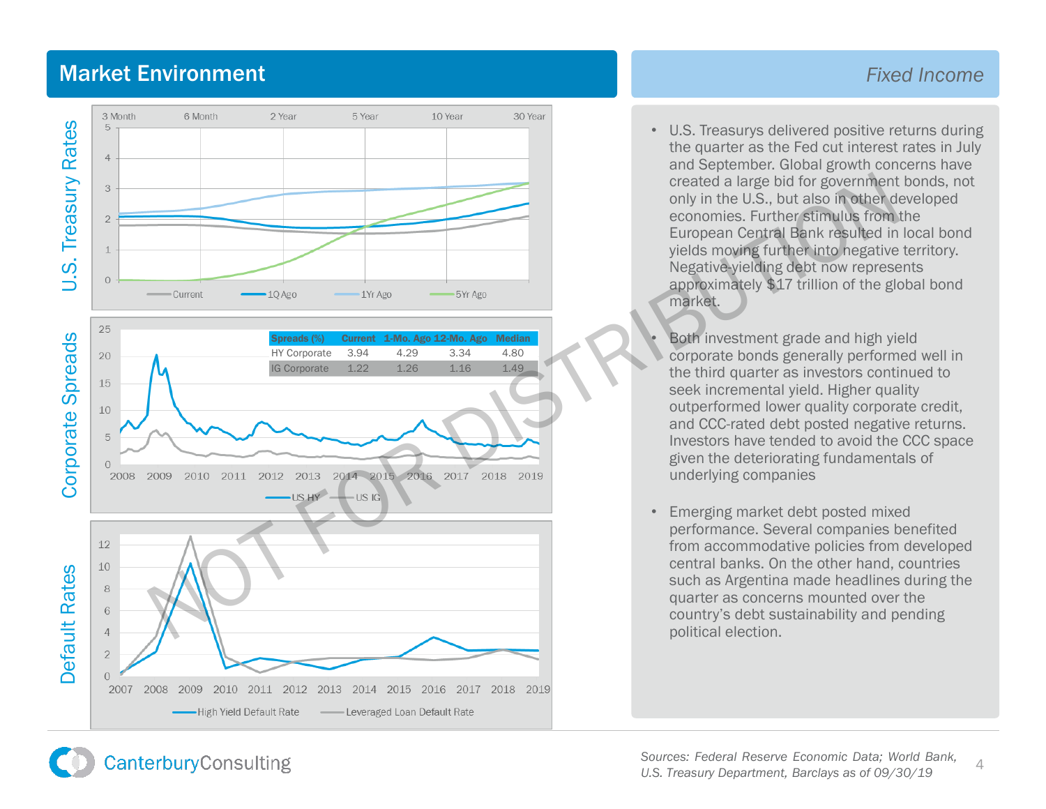#### Market Environment *Fixed Income*



- Leveraged Loan Default Rate

• U.S. Treasurys delivered positive returns during the quarter as the Fed cut interest rates in July and September. Global growth concerns have created a large bid for government bonds, not only in the U.S., but also in other developed economies. Further stimulus from the European Central Bank resulted in local bond yields moving further into negative territory. Negative -yielding debt now represents approximately \$17 trillion of the global bond market.

• Both investment grade and high yield corporate bonds generally performed well in the third quarter as investors continued to seek incremental yield. Higher quality outperformed lower quality corporate credit, and CCC -rated debt posted negative returns. Investors have tended to avoid the CCC space given the deteriorating fundamentals of underlying companies

• Emerging market debt posted mixed performance. Several companies benefited from accommodative policies from developed central banks. On the other hand, countries such as Argentina made headlines during the quarter as concerns mounted over the country's debt sustainability and pending political election.

**CanterburyConsulting** 

-High Yield Default Rate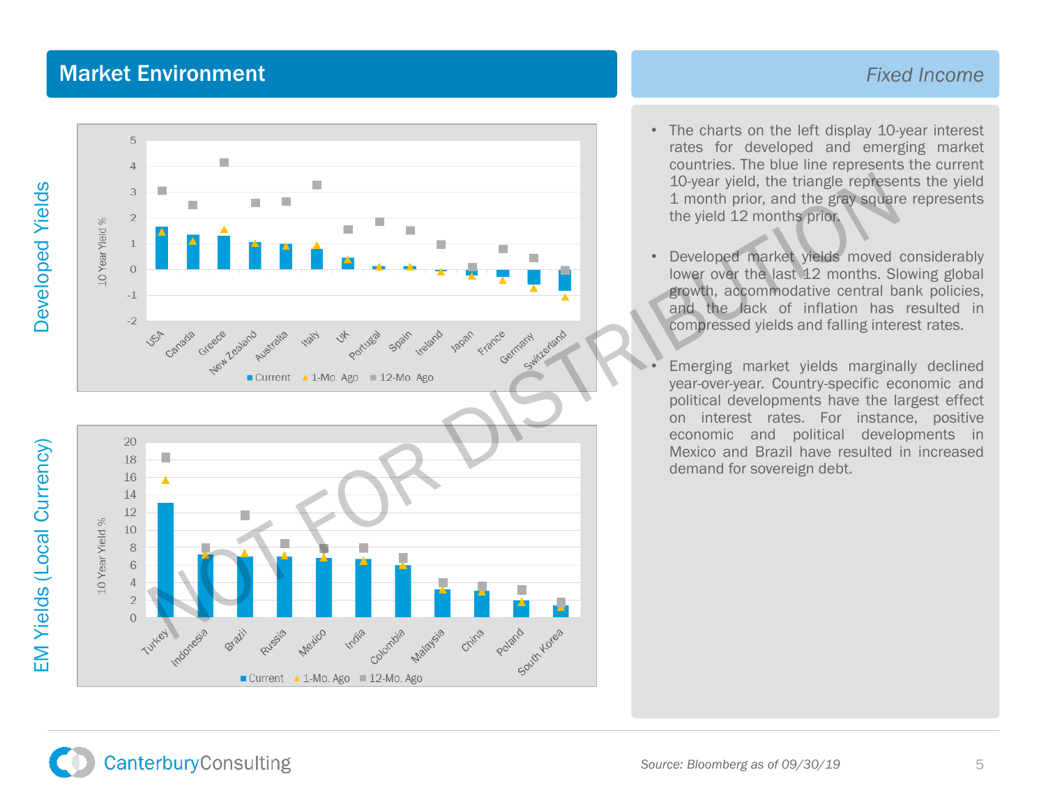### **Market Environment Fixed Income Fixed Income**



- The charts on the left display 10-year interest rates for developed and emerging market countries . The blue line represents the current 10 -year yield, the triangle represents the yield 1 month prior, and the gray square represents the yield 12 months prior .
- Developed market yields moved considerably lower over the last 12 months . Slowing global growth, accommodative central bank policies, and the lack of inflation has resulted in compressed yields and falling interest rates .
- Emerging market yields marginally declined year -over -year . Country -specific economic and political developments have the largest effect on interest rates . For instance, positive economic and political developments in Mexico and Brazil have resulted in increased demand for sovereign debt .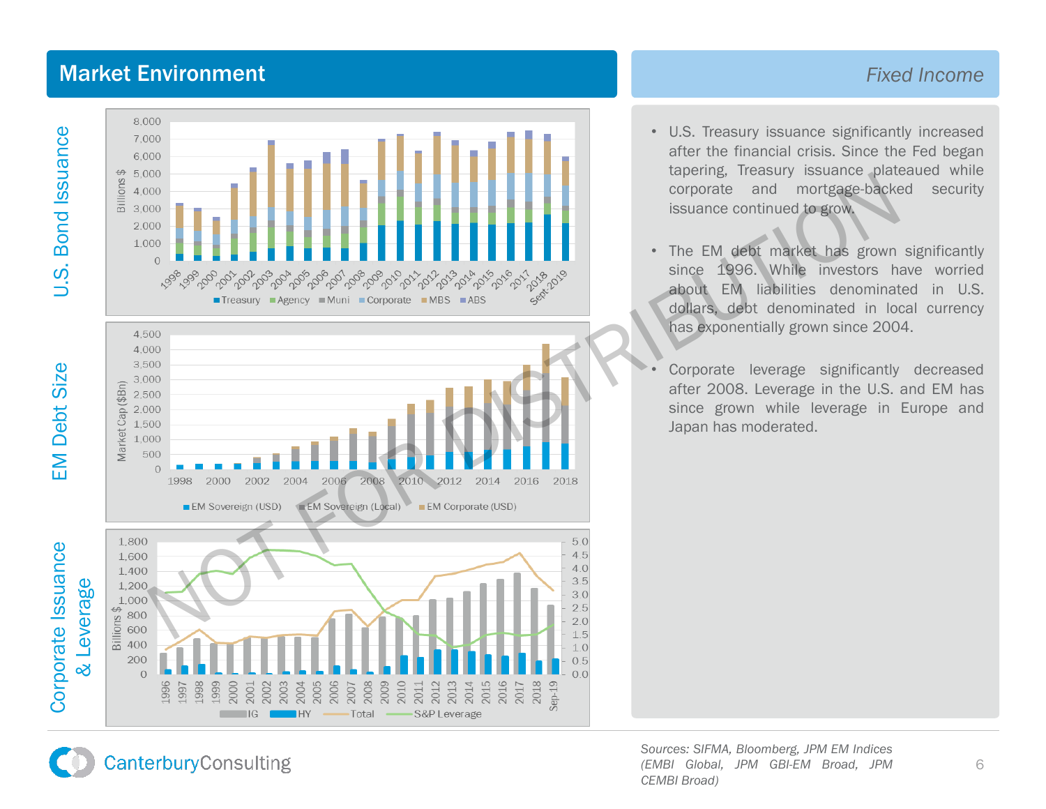#### **Market Environment Fixed Income Fixed Income**







- U . S . Treasury issuance significantly increased after the financial crisis . Since the Fed began tapering, Treasury issuance plateaued while corporate and mortgage -backed security issuance continued to grow .
- The EM debt market has grown significantly since 1996 . While investors have worried about EM liabilities denominated in U.S. dollars, debt denominated in local currency has exponentially grown since 2004 .

Corporate leverage significantly decreased after 2008 . Leverage in the U . S . and EM has since grown while leverage in Europe and Japan has moderated .

*Sources : SIFMA, Bloomberg, JPM EM Indices (EMBI Global, JPM GBI -EM Broad, JPM CEMBI Broad)*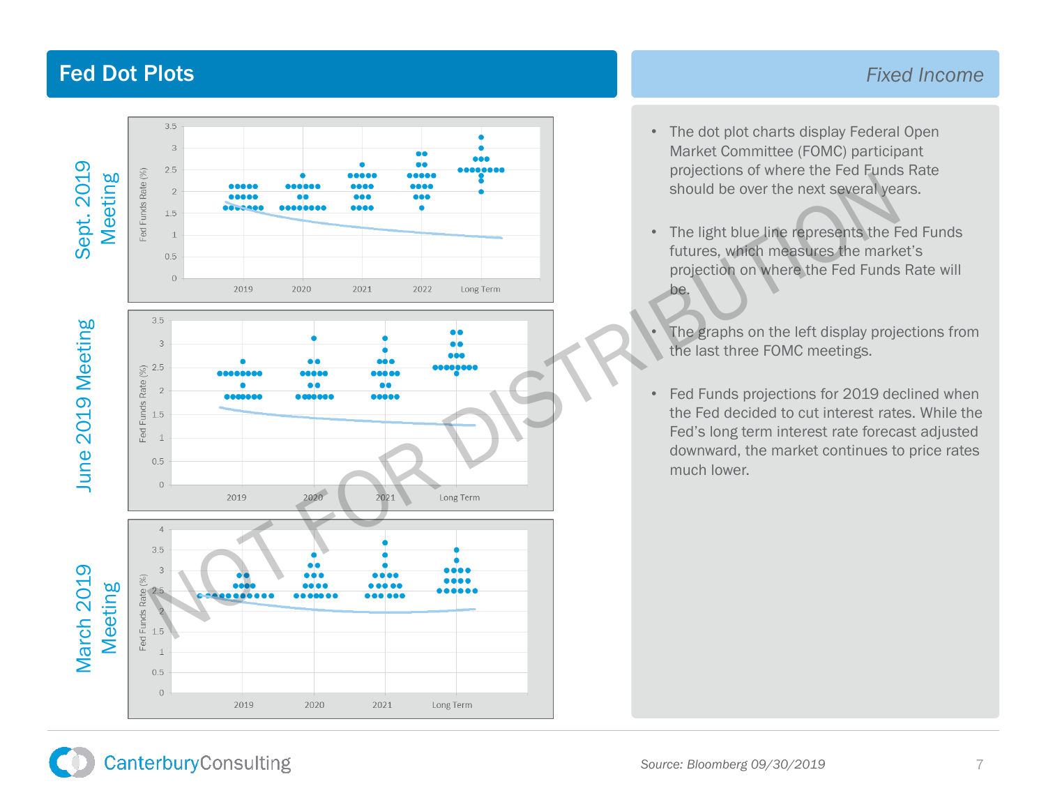### Fed Dot Plots

#### *Fixed Income*



- The dot plot charts display Federal Open Market Committee (FOMC) participant projections of where the Fed Funds Rate should be over the next several years.
- The light blue line represents the Fed Funds futures, which measures the market's projection on where the Fed Funds Rate will be.

The graphs on the left display projections from the last three FOMC meetings.

• Fed Funds projections for 2019 declined when the Fed decided to cut interest rates. While the Fed's long term interest rate forecast adjusted downward, the market continues to price rates much lower.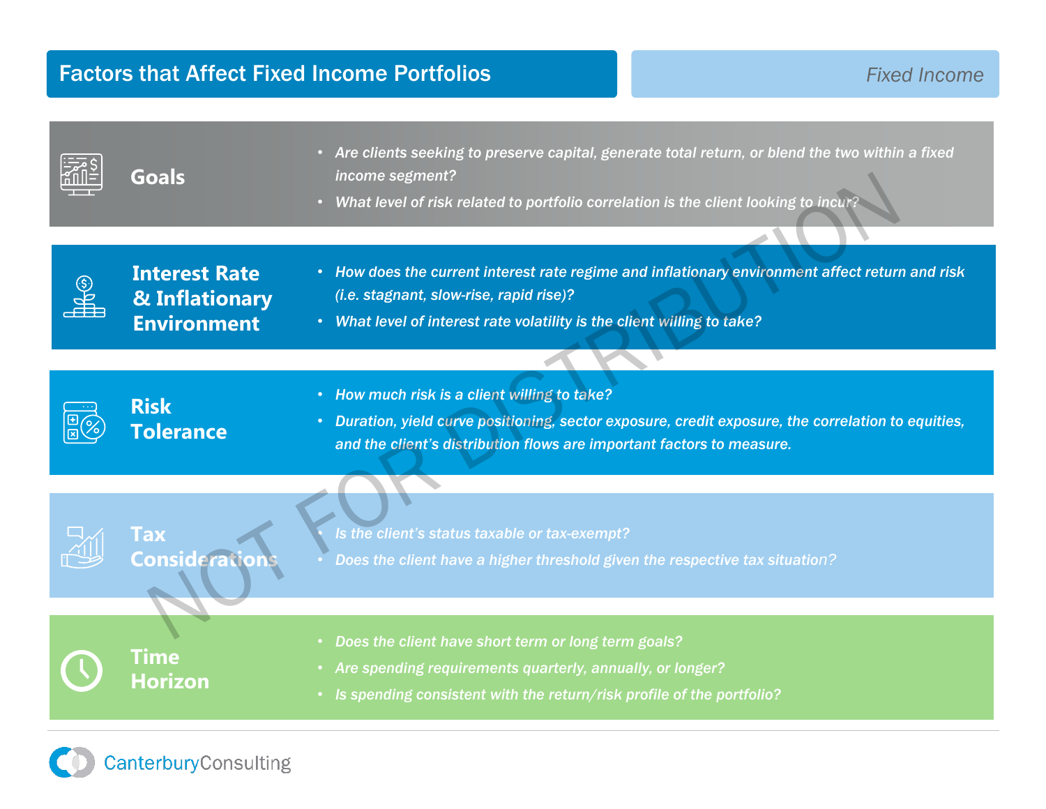| <b>Goals</b>                                                 | Are clients seeking to preserve capital, generate total return, or blend the two within a fixed<br>$\bullet$<br>income segment?<br>What level of risk related to portfolio correlation is the client looking to incur?<br>$\bullet$ |
|--------------------------------------------------------------|-------------------------------------------------------------------------------------------------------------------------------------------------------------------------------------------------------------------------------------|
| <b>Interest Rate</b><br>& Inflationary<br><b>Environment</b> | • How does the current interest rate regime and inflationary environment affect return and risk<br>(i.e. stagnant, slow-rise, rapid rise)?<br>• What level of interest rate volatility is the client willing to take?               |
|                                                              |                                                                                                                                                                                                                                     |
| <b>Risk</b><br><b>Tolerance</b>                              | • How much risk is a client willing to take?<br>• Duration, yield curve positioning, sector exposure, credit exposure, the correlation to equities,<br>and the client's distribution flows are important factors to measure.        |
| Tax<br><b>Consideration</b>                                  | Is the client's status taxable or tax-exempt?<br>Does the client have a higher threshold given the respective tax situation?                                                                                                        |
| <b>Time</b><br><b>Horizon</b>                                | Does the client have short term or long term goals?<br>Are spending requirements quarterly, annually, or longer?<br>Is spending consistent with the return/risk profile of the portfolio?                                           |